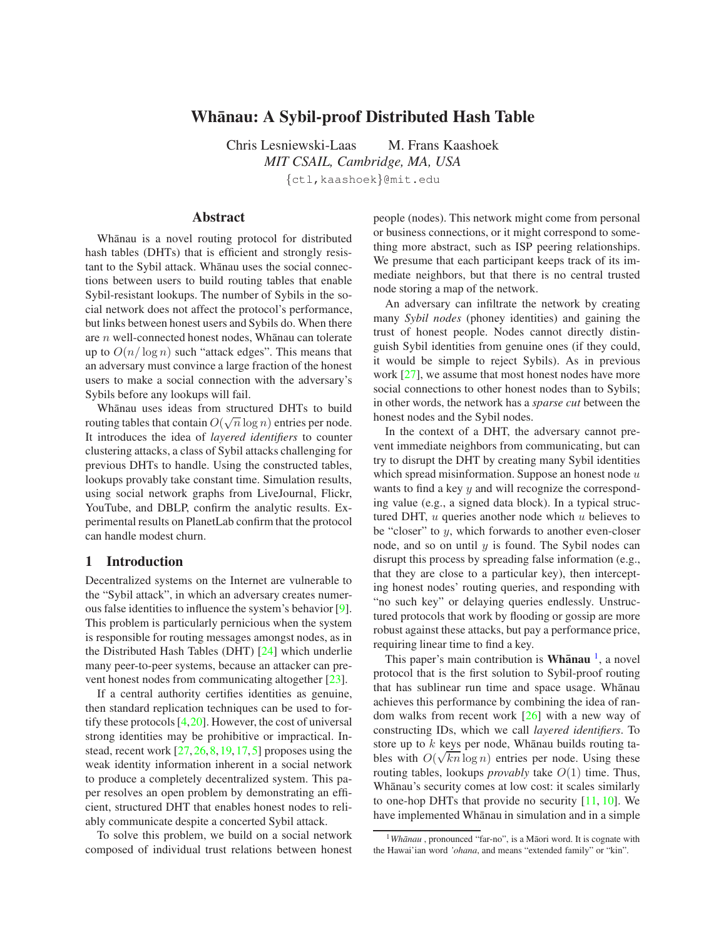# **Whanau: A Sybil-proof Distributed Hash Table ¯**

Chris Lesniewski-Laas M. Frans Kaashoek *MIT CSAIL, Cambridge, MA, USA* {ctl,kaashoek}@mit.edu

## **Abstract**

Whānau is a novel routing protocol for distributed hash tables (DHTs) that is efficient and strongly resistant to the Sybil attack. Whānau uses the social connections between users to build routing tables that enable Sybil-resistant lookups. The number of Sybils in the social network does not affect the protocol's performance, but links between honest users and Sybils do. When there are  $n$  well-connected honest nodes, Whanau can tolerate up to  $O(n/\log n)$  such "attack edges". This means that an adversary must convince a large fraction of the honest users to make a social connection with the adversary's Sybils before any lookups will fail.

Whānau uses ideas from structured DHTs to build routing tables that contain  $O(\sqrt{n}\log n)$  entries per node. It introduces the idea of *layered identifiers* to counter clustering attacks, a class of Sybil attacks challenging for previous DHTs to handle. Using the constructed tables, lookups provably take constant time. Simulation results, using social network graphs from LiveJournal, Flickr, YouTube, and DBLP, confirm the analytic results. Experimental results on PlanetLab confirm that the protocol can handle modest churn.

### **1 Introduction**

Decentralized systems on the Internet are vulnerable to the "Sybil attack", in which an adversary creates numerous false identities to influence the system's behavior [\[9\]](#page-15-0). This problem is particularly pernicious when the system is responsible for routing messages amongst nodes, as in the Distributed Hash Tables (DHT) [\[24\]](#page-15-1) which underlie many peer-to-peer systems, because an attacker can prevent honest nodes from communicating altogether [\[23\]](#page-15-2).

If a central authority certifies identities as genuine, then standard replication techniques can be used to fortify these protocols  $[4,20]$  $[4,20]$ . However, the cost of universal strong identities may be prohibitive or impractical. Instead, recent work  $[27, 26, 8, 19, 17, 5]$  $[27, 26, 8, 19, 17, 5]$  $[27, 26, 8, 19, 17, 5]$  $[27, 26, 8, 19, 17, 5]$  $[27, 26, 8, 19, 17, 5]$  $[27, 26, 8, 19, 17, 5]$  $[27, 26, 8, 19, 17, 5]$  $[27, 26, 8, 19, 17, 5]$  $[27, 26, 8, 19, 17, 5]$  $[27, 26, 8, 19, 17, 5]$  proposes using the weak identity information inherent in a social network to produce a completely decentralized system. This paper resolves an open problem by demonstrating an efficient, structured DHT that enables honest nodes to reliably communicate despite a concerted Sybil attack.

To solve this problem, we build on a social network composed of individual trust relations between honest people (nodes). This network might come from personal or business connections, or it might correspond to something more abstract, such as ISP peering relationships. We presume that each participant keeps track of its immediate neighbors, but that there is no central trusted node storing a map of the network.

An adversary can infiltrate the network by creating many *Sybil nodes* (phoney identities) and gaining the trust of honest people. Nodes cannot directly distinguish Sybil identities from genuine ones (if they could, it would be simple to reject Sybils). As in previous work [\[27\]](#page-15-5), we assume that most honest nodes have more social connections to other honest nodes than to Sybils; in other words, the network has a *sparse cut* between the honest nodes and the Sybil nodes.

In the context of a DHT, the adversary cannot prevent immediate neighbors from communicating, but can try to disrupt the DHT by creating many Sybil identities which spread misinformation. Suppose an honest node  $u$ wants to find a key  $y$  and will recognize the corresponding value (e.g., a signed data block). In a typical structured DHT,  $u$  queries another node which  $u$  believes to be "closer" to  $y$ , which forwards to another even-closer node, and so on until  $y$  is found. The Sybil nodes can disrupt this process by spreading false information (e.g., that they are close to a particular key), then intercepting honest nodes' routing queries, and responding with "no such key" or delaying queries endlessly. Unstructured protocols that work by flooding or gossip are more robust against these attacks, but pay a performance price, requiring linear time to find a key.

This paper's main contribution is Whanau<sup>[1](#page-0-0)</sup>, a novel protocol that is the first solution to Sybil-proof routing that has sublinear run time and space usage. Whānau achieves this performance by combining the idea of random walks from recent work [\[26\]](#page-15-6) with a new way of constructing IDs, which we call *layered identifiers*. To store up to  $k$  keys per node, Whānau builds routing tables with  $O(\sqrt{kn} \log n)$  entries per node. Using these routing tables, lookups *provably* take O(1) time. Thus, Whānau's security comes at low cost: it scales similarly to one-hop DHTs that provide no security [\[11,](#page-15-11) [10\]](#page-15-12). We have implemented Whānau in simulation and in a simple

<span id="page-0-0"></span><sup>&</sup>lt;sup>1</sup>Whānau, pronounced "far-no", is a Māori word. It is cognate with the Hawai'ian word *'ohana*, and means "extended family" or "kin".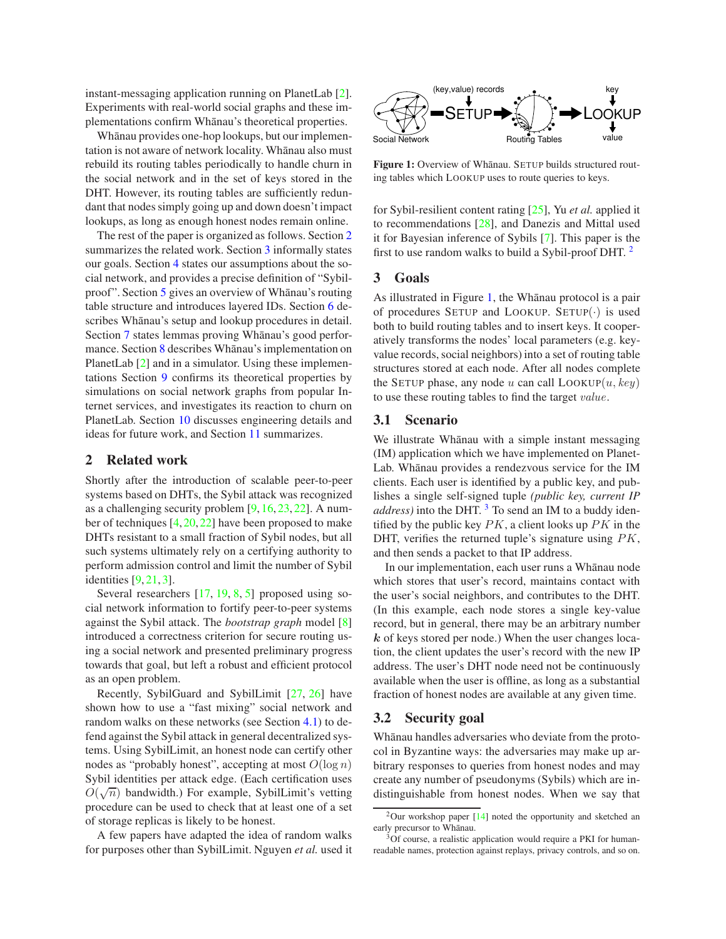instant-messaging application running on PlanetLab [\[2\]](#page-15-13). Experiments with real-world social graphs and these implementations confirm Whanau's theoretical properties.

Whānau provides one-hop lookups, but our implementation is not aware of network locality. Whānau also must rebuild its routing tables periodically to handle churn in the social network and in the set of keys stored in the DHT. However, its routing tables are sufficiently redundant that nodes simply going up and down doesn't impact lookups, as long as enough honest nodes remain online.

The rest of the paper is organized as follows. Section [2](#page-1-0) summarizes the related work. Section [3](#page-1-1) informally states our goals. Section [4](#page-2-0) states our assumptions about the social network, and provides a precise definition of "Sybil-proof". Section [5](#page-3-0) gives an overview of Whānau's routing table structure and introduces layered IDs. Section [6](#page-5-0) describes Whānau's setup and lookup procedures in detail. Section [7](#page-7-0) states lemmas proving Whānau's good perfor-mance. Section [8](#page-9-0) describes Whānau's implementation on PlanetLab [\[2\]](#page-15-13) and in a simulator. Using these implementations Section [9](#page-10-0) confirms its theoretical properties by simulations on social network graphs from popular Internet services, and investigates its reaction to churn on PlanetLab. Section [10](#page-14-0) discusses engineering details and ideas for future work, and Section [11](#page-15-14) summarizes.

### <span id="page-1-0"></span>**2 Related work**

Shortly after the introduction of scalable peer-to-peer systems based on DHTs, the Sybil attack was recognized as a challenging security problem [\[9,](#page-15-0) [16,](#page-15-15) [23,](#page-15-2) [22\]](#page-15-16). A number of techniques  $[4, 20, 22]$  $[4, 20, 22]$  $[4, 20, 22]$  $[4, 20, 22]$  have been proposed to make DHTs resistant to a small fraction of Sybil nodes, but all such systems ultimately rely on a certifying authority to perform admission control and limit the number of Sybil identities [\[9,](#page-15-0) [21,](#page-15-17) [3\]](#page-15-18).

Several researchers [\[17,](#page-15-9) [19,](#page-15-8) [8,](#page-15-7) [5\]](#page-15-10) proposed using social network information to fortify peer-to-peer systems against the Sybil attack. The *bootstrap graph* model [\[8\]](#page-15-7) introduced a correctness criterion for secure routing using a social network and presented preliminary progress towards that goal, but left a robust and efficient protocol as an open problem.

Recently, SybilGuard and SybilLimit [\[27,](#page-15-5) [26\]](#page-15-6) have shown how to use a "fast mixing" social network and random walks on these networks (see Section [4.1\)](#page-2-1) to defend against the Sybil attack in general decentralized systems. Using SybilLimit, an honest node can certify other nodes as "probably honest", accepting at most  $O(\log n)$ Sybil identities per attack edge. (Each certification uses  $O(\sqrt{n})$  bandwidth.) For example, SybilLimit's vetting procedure can be used to check that at least one of a set of storage replicas is likely to be honest.

A few papers have adapted the idea of random walks for purposes other than SybilLimit. Nguyen *et al.* used it



<span id="page-1-3"></span>Figure 1: Overview of Whānau. SETUP builds structured routing tables which LOOKUP uses to route queries to keys.

for Sybil-resilient content rating [\[25\]](#page-15-19), Yu *et al.* applied it to recommendations [\[28\]](#page-15-20), and Danezis and Mittal used it for Bayesian inference of Sybils [\[7\]](#page-15-21). This paper is the first to use random walks to build a Sybil-proof DHT.<sup>[2](#page-1-2)</sup>

#### <span id="page-1-1"></span>**3 Goals**

As illustrated in Figure [1,](#page-1-3) the Whanau protocol is a pair of procedures SETUP and LOOKUP. SETUP(·) is used both to build routing tables and to insert keys. It cooperatively transforms the nodes' local parameters (e.g. keyvalue records, social neighbors) into a set of routing table structures stored at each node. After all nodes complete the SETUP phase, any node u can call  $Loop(u, key)$ to use these routing tables to find the target value.

## **3.1 Scenario**

We illustrate Whānau with a simple instant messaging (IM) application which we have implemented on Planet-Lab. Whānau provides a rendezvous service for the IM clients. Each user is identified by a public key, and publishes a single self-signed tuple *(public key, current IP address*) into the DHT.<sup>[3](#page-1-4)</sup> To send an IM to a buddy identified by the public key  $PK$ , a client looks up  $PK$  in the DHT, verifies the returned tuple's signature using  $PK$ , and then sends a packet to that IP address.

In our implementation, each user runs a Whānau node which stores that user's record, maintains contact with the user's social neighbors, and contributes to the DHT. (In this example, each node stores a single key-value record, but in general, there may be an arbitrary number  $k$  of keys stored per node.) When the user changes location, the client updates the user's record with the new IP address. The user's DHT node need not be continuously available when the user is offline, as long as a substantial fraction of honest nodes are available at any given time.

## **3.2 Security goal**

Whānau handles adversaries who deviate from the protocol in Byzantine ways: the adversaries may make up arbitrary responses to queries from honest nodes and may create any number of pseudonyms (Sybils) which are indistinguishable from honest nodes. When we say that

<span id="page-1-2"></span> $2$ Our workshop paper [\[14\]](#page-15-22) noted the opportunity and sketched an early precursor to Whānau.

<span id="page-1-4"></span><sup>&</sup>lt;sup>3</sup>Of course, a realistic application would require a PKI for humanreadable names, protection against replays, privacy controls, and so on.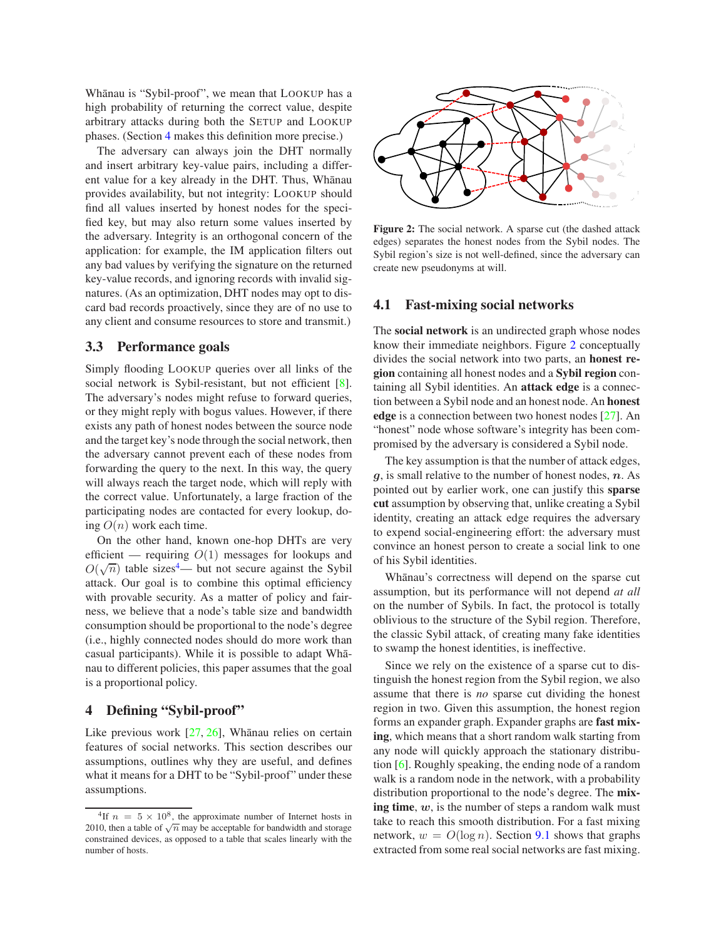Whānau is "Sybil-proof", we mean that LOOKUP has a high probability of returning the correct value, despite arbitrary attacks during both the SETUP and LOOKUP phases. (Section [4](#page-2-0) makes this definition more precise.)

The adversary can always join the DHT normally and insert arbitrary key-value pairs, including a different value for a key already in the DHT. Thus, Whānau provides availability, but not integrity: LOOKUP should find all values inserted by honest nodes for the specified key, but may also return some values inserted by the adversary. Integrity is an orthogonal concern of the application: for example, the IM application filters out any bad values by verifying the signature on the returned key-value records, and ignoring records with invalid signatures. (As an optimization, DHT nodes may opt to discard bad records proactively, since they are of no use to any client and consume resources to store and transmit.)

### <span id="page-2-4"></span>**3.3 Performance goals**

Simply flooding LOOKUP queries over all links of the social network is Sybil-resistant, but not efficient [\[8\]](#page-15-7). The adversary's nodes might refuse to forward queries, or they might reply with bogus values. However, if there exists any path of honest nodes between the source node and the target key's node through the social network, then the adversary cannot prevent each of these nodes from forwarding the query to the next. In this way, the query will always reach the target node, which will reply with the correct value. Unfortunately, a large fraction of the participating nodes are contacted for every lookup, doing  $O(n)$  work each time.

On the other hand, known one-hop DHTs are very efficient — requiring  $O(1)$  messages for lookups and  $O(\sqrt{n})$  table sizes<sup>[4](#page-2-2)</sup>— but not secure against the Sybil attack. Our goal is to combine this optimal efficiency with provable security. As a matter of policy and fairness, we believe that a node's table size and bandwidth consumption should be proportional to the node's degree (i.e., highly connected nodes should do more work than casual participants). While it is possible to adapt Whanau to different policies, this paper assumes that the goal is a proportional policy.

# <span id="page-2-0"></span>**4 Defining "Sybil-proof"**

Like previous work  $[27, 26]$  $[27, 26]$ , Whānau relies on certain features of social networks. This section describes our assumptions, outlines why they are useful, and defines what it means for a DHT to be "Sybil-proof" under these assumptions.



<span id="page-2-3"></span>**Figure 2:** The social network. A sparse cut (the dashed attack edges) separates the honest nodes from the Sybil nodes. The Sybil region's size is not well-defined, since the adversary can create new pseudonyms at will.

### <span id="page-2-1"></span>**4.1 Fast-mixing social networks**

The **social network** is an undirected graph whose nodes know their immediate neighbors. Figure [2](#page-2-3) conceptually divides the social network into two parts, an **honest region** containing all honest nodes and a **Sybil region** containing all Sybil identities. An **attack edge** is a connection between a Sybil node and an honest node. An **honest edge** is a connection between two honest nodes [\[27\]](#page-15-5). An "honest" node whose software's integrity has been compromised by the adversary is considered a Sybil node.

The key assumption is that the number of attack edges,  $g$ , is small relative to the number of honest nodes,  $n$ . As pointed out by earlier work, one can justify this **sparse cut** assumption by observing that, unlike creating a Sybil identity, creating an attack edge requires the adversary to expend social-engineering effort: the adversary must convince an honest person to create a social link to one of his Sybil identities.

Whānau's correctness will depend on the sparse cut assumption, but its performance will not depend *at all* on the number of Sybils. In fact, the protocol is totally oblivious to the structure of the Sybil region. Therefore, the classic Sybil attack, of creating many fake identities to swamp the honest identities, is ineffective.

Since we rely on the existence of a sparse cut to distinguish the honest region from the Sybil region, we also assume that there is *no* sparse cut dividing the honest region in two. Given this assumption, the honest region forms an expander graph. Expander graphs are **fast mixing**, which means that a short random walk starting from any node will quickly approach the stationary distribution [\[6\]](#page-15-23). Roughly speaking, the ending node of a random walk is a random node in the network, with a probability distribution proportional to the node's degree. The **mixing time**, w, is the number of steps a random walk must take to reach this smooth distribution. For a fast mixing network,  $w = O(\log n)$ . Section [9.1](#page-10-1) shows that graphs extracted from some real social networks are fast mixing.

<span id="page-2-2"></span><sup>&</sup>lt;sup>4</sup>If  $n = 5 \times 10^8$ , the approximate number of Internet hosts in 2010, then a table of  $\sqrt{n}$  may be acceptable for bandwidth and storage constrained devices, as opposed to a table that scales linearly with the number of hosts.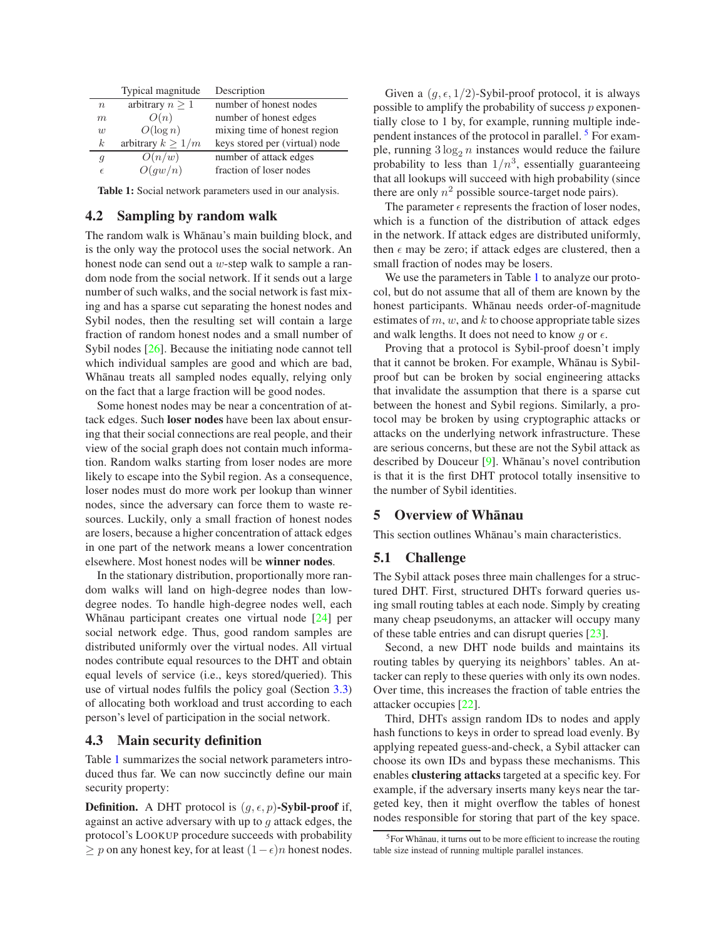|                  | Typical magnitude      | Description                    |
|------------------|------------------------|--------------------------------|
| $\boldsymbol{n}$ | arbitrary $n \geq 1$   | number of honest nodes         |
| m                | O(n)                   | number of honest edges         |
| $\overline{u}$   | $O(\log n)$            | mixing time of honest region   |
| $\boldsymbol{k}$ | arbitrary $k \geq 1/m$ | keys stored per (virtual) node |
| g                | O(n/w)                 | number of attack edges         |
| $\epsilon$       | O(qw/n)                | fraction of loser nodes        |

**Table 1:** Social network parameters used in our analysis.

### <span id="page-3-4"></span><span id="page-3-1"></span>**4.2 Sampling by random walk**

The random walk is Whānau's main building block, and is the only way the protocol uses the social network. An honest node can send out a w-step walk to sample a random node from the social network. If it sends out a large number of such walks, and the social network is fast mixing and has a sparse cut separating the honest nodes and Sybil nodes, then the resulting set will contain a large fraction of random honest nodes and a small number of Sybil nodes [\[26\]](#page-15-6). Because the initiating node cannot tell which individual samples are good and which are bad, Whānau treats all sampled nodes equally, relying only on the fact that a large fraction will be good nodes.

Some honest nodes may be near a concentration of attack edges. Such **loser nodes** have been lax about ensuring that their social connections are real people, and their view of the social graph does not contain much information. Random walks starting from loser nodes are more likely to escape into the Sybil region. As a consequence, loser nodes must do more work per lookup than winner nodes, since the adversary can force them to waste resources. Luckily, only a small fraction of honest nodes are losers, because a higher concentration of attack edges in one part of the network means a lower concentration elsewhere. Most honest nodes will be **winner nodes**.

In the stationary distribution, proportionally more random walks will land on high-degree nodes than lowdegree nodes. To handle high-degree nodes well, each Whānau participant creates one virtual node [\[24\]](#page-15-1) per social network edge. Thus, good random samples are distributed uniformly over the virtual nodes. All virtual nodes contribute equal resources to the DHT and obtain equal levels of service (i.e., keys stored/queried). This use of virtual nodes fulfils the policy goal (Section [3.3\)](#page-2-4) of allocating both workload and trust according to each person's level of participation in the social network.

### **4.3 Main security definition**

Table [1](#page-3-1) summarizes the social network parameters introduced thus far. We can now succinctly define our main security property:

**Definition.** A DHT protocol is  $(g, \epsilon, p)$ -Sybil-proof if, against an active adversary with up to  $q$  attack edges, the protocol's LOOKUP procedure succeeds with probability  $\geq p$  on any honest key, for at least  $(1 - \epsilon)n$  honest nodes.

Given a  $(q, \epsilon, 1/2)$ -Sybil-proof protocol, it is always possible to amplify the probability of success  $p$  exponentially close to 1 by, for example, running multiple independent instances of the protocol in parallel. [5](#page-3-2) For example, running  $3 \log_2 n$  instances would reduce the failure probability to less than  $1/n^3$ , essentially guaranteeing that all lookups will succeed with high probability (since there are only  $n^2$  possible source-target node pairs).

The parameter  $\epsilon$  represents the fraction of loser nodes, which is a function of the distribution of attack edges in the network. If attack edges are distributed uniformly, then  $\epsilon$  may be zero; if attack edges are clustered, then a small fraction of nodes may be losers.

We use the parameters in Table [1](#page-3-1) to analyze our protocol, but do not assume that all of them are known by the honest participants. Whānau needs order-of-magnitude estimates of  $m$ ,  $w$ , and  $k$  to choose appropriate table sizes and walk lengths. It does not need to know q or  $\epsilon$ .

Proving that a protocol is Sybil-proof doesn't imply that it cannot be broken. For example, Whanau is Sybilproof but can be broken by social engineering attacks that invalidate the assumption that there is a sparse cut between the honest and Sybil regions. Similarly, a protocol may be broken by using cryptographic attacks or attacks on the underlying network infrastructure. These are serious concerns, but these are not the Sybil attack as described by Douceur [\[9\]](#page-15-0). Whānau's novel contribution is that it is the first DHT protocol totally insensitive to the number of Sybil identities.

## <span id="page-3-0"></span>**5** Overview of Whanau

<span id="page-3-3"></span>This section outlines Whānau's main characteristics.

### **5.1 Challenge**

The Sybil attack poses three main challenges for a structured DHT. First, structured DHTs forward queries using small routing tables at each node. Simply by creating many cheap pseudonyms, an attacker will occupy many of these table entries and can disrupt queries [\[23\]](#page-15-2).

Second, a new DHT node builds and maintains its routing tables by querying its neighbors' tables. An attacker can reply to these queries with only its own nodes. Over time, this increases the fraction of table entries the attacker occupies [\[22\]](#page-15-16).

Third, DHTs assign random IDs to nodes and apply hash functions to keys in order to spread load evenly. By applying repeated guess-and-check, a Sybil attacker can choose its own IDs and bypass these mechanisms. This enables **clustering attacks** targeted at a specific key. For example, if the adversary inserts many keys near the targeted key, then it might overflow the tables of honest nodes responsible for storing that part of the key space.

<span id="page-3-2"></span> $5$ For Whānau, it turns out to be more efficient to increase the routing table size instead of running multiple parallel instances.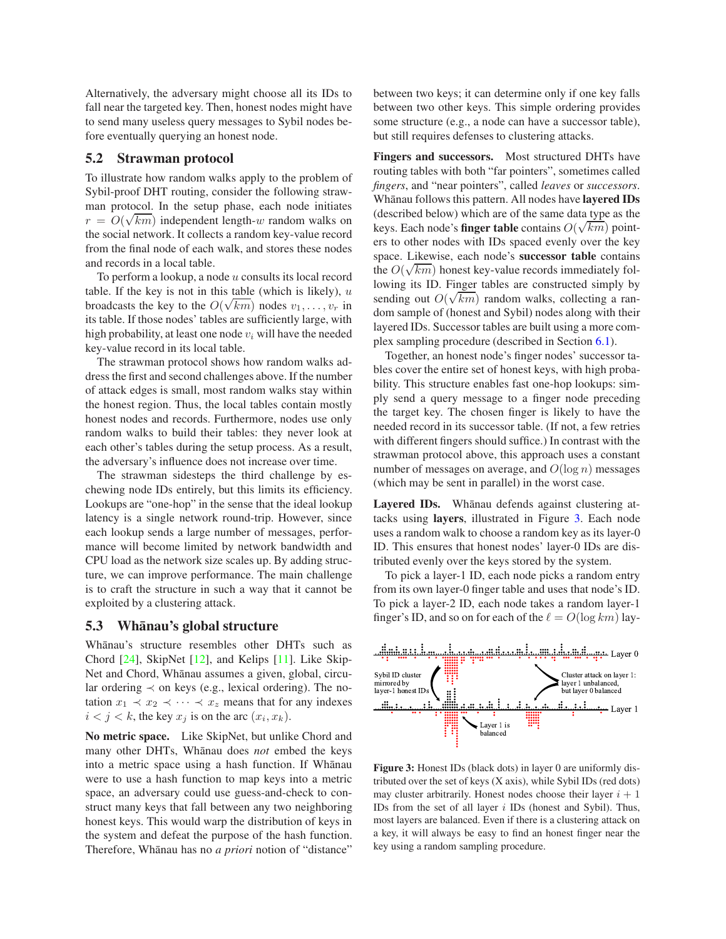Alternatively, the adversary might choose all its IDs to fall near the targeted key. Then, honest nodes might have to send many useless query messages to Sybil nodes before eventually querying an honest node.

### **5.2 Strawman protocol**

To illustrate how random walks apply to the problem of Sybil-proof DHT routing, consider the following strawman protocol. In the setup phase, each node initiates  $r = O(\sqrt{km})$  independent length-w random walks on the social network. It collects a random key-value record from the final node of each walk, and stores these nodes and records in a local table.

To perform a lookup, a node  $u$  consults its local record table. If the key is not in this table (which is likely),  $u$ broadcasts the key to the  $O(\sqrt{km})$  nodes  $v_1, \ldots, v_r$  in its table. If those nodes' tables are sufficiently large, with high probability, at least one node  $v_i$  will have the needed key-value record in its local table.

The strawman protocol shows how random walks address the first and second challenges above. If the number of attack edges is small, most random walks stay within the honest region. Thus, the local tables contain mostly honest nodes and records. Furthermore, nodes use only random walks to build their tables: they never look at each other's tables during the setup process. As a result, the adversary's influence does not increase over time.

The strawman sidesteps the third challenge by eschewing node IDs entirely, but this limits its efficiency. Lookups are "one-hop" in the sense that the ideal lookup latency is a single network round-trip. However, since each lookup sends a large number of messages, performance will become limited by network bandwidth and CPU load as the network size scales up. By adding structure, we can improve performance. The main challenge is to craft the structure in such a way that it cannot be exploited by a clustering attack.

## <span id="page-4-1"></span>**5.3 Whanau's global structure ¯**

Whānau's structure resembles other DHTs such as Chord [\[24\]](#page-15-1), SkipNet [\[12\]](#page-15-24), and Kelips [\[11\]](#page-15-11). Like Skip-Net and Chord, Whānau assumes a given, global, circular ordering  $\prec$  on keys (e.g., lexical ordering). The notation  $x_1 \prec x_2 \prec \cdots \prec x_z$  means that for any indexes  $i < j < k$ , the key  $x_j$  is on the arc  $(x_i, x_k)$ .

**No metric space.** Like SkipNet, but unlike Chord and many other DHTs, Whanau does *not* embed the keys into a metric space using a hash function. If Whānau were to use a hash function to map keys into a metric space, an adversary could use guess-and-check to construct many keys that fall between any two neighboring honest keys. This would warp the distribution of keys in the system and defeat the purpose of the hash function. Therefore, Whanau has no *a priori* notion of "distance" between two keys; it can determine only if one key falls between two other keys. This simple ordering provides some structure (e.g., a node can have a successor table), but still requires defenses to clustering attacks.

**Fingers and successors.** Most structured DHTs have routing tables with both "far pointers", sometimes called *fingers*, and "near pointers", called *leaves* or *successors*. Whanau follows this pattern. All nodes have **layered IDs** (described below) which are of the same data type as the keys. Each node's **finger table** contains  $O(\sqrt{km})$  pointers to other nodes with IDs spaced evenly over the key space. Likewise, each node's **successor table** contains the  $O(\sqrt{km})$  honest key-value records immediately following its ID. Finger tables are constructed simply by sending out  $O(\sqrt{km})$  random walks, collecting a random sample of (honest and Sybil) nodes along with their layered IDs. Successor tables are built using a more complex sampling procedure (described in Section [6.1\)](#page-5-1).

Together, an honest node's finger nodes' successor tables cover the entire set of honest keys, with high probability. This structure enables fast one-hop lookups: simply send a query message to a finger node preceding the target key. The chosen finger is likely to have the needed record in its successor table. (If not, a few retries with different fingers should suffice.) In contrast with the strawman protocol above, this approach uses a constant number of messages on average, and  $O(\log n)$  messages (which may be sent in parallel) in the worst case.

Layered IDs. Whanau defends against clustering attacks using **layers**, illustrated in Figure [3.](#page-4-0) Each node uses a random walk to choose a random key as its layer-0 ID. This ensures that honest nodes' layer-0 IDs are distributed evenly over the keys stored by the system.

To pick a layer-1 ID, each node picks a random entry from its own layer-0 finger table and uses that node's ID. To pick a layer-2 ID, each node takes a random layer-1 finger's ID, and so on for each of the  $\ell = O(\log km)$  lay-



<span id="page-4-0"></span>**Figure 3:** Honest IDs (black dots) in layer 0 are uniformly distributed over the set of keys (X axis), while Sybil IDs (red dots) may cluster arbitrarily. Honest nodes choose their layer  $i + 1$ IDs from the set of all layer  $i$  IDs (honest and Sybil). Thus, most layers are balanced. Even if there is a clustering attack on a key, it will always be easy to find an honest finger near the key using a random sampling procedure.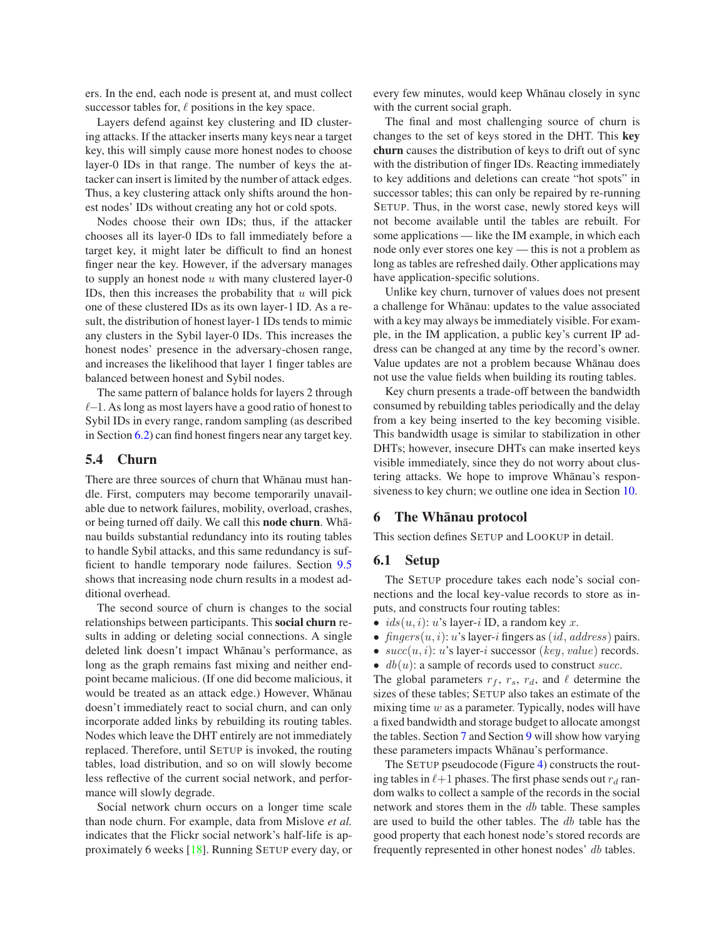ers. In the end, each node is present at, and must collect successor tables for,  $\ell$  positions in the key space.

Layers defend against key clustering and ID clustering attacks. If the attacker inserts many keys near a target key, this will simply cause more honest nodes to choose layer-0 IDs in that range. The number of keys the attacker can insert is limited by the number of attack edges. Thus, a key clustering attack only shifts around the honest nodes' IDs without creating any hot or cold spots.

Nodes choose their own IDs; thus, if the attacker chooses all its layer-0 IDs to fall immediately before a target key, it might later be difficult to find an honest finger near the key. However, if the adversary manages to supply an honest node  $u$  with many clustered layer-0 IDs, then this increases the probability that  $u$  will pick one of these clustered IDs as its own layer-1 ID. As a result, the distribution of honest layer-1 IDs tends to mimic any clusters in the Sybil layer-0 IDs. This increases the honest nodes' presence in the adversary-chosen range, and increases the likelihood that layer 1 finger tables are balanced between honest and Sybil nodes.

The same pattern of balance holds for layers 2 through ℓ−1. As long as most layers have a good ratio of honest to Sybil IDs in every range, random sampling (as described in Section [6.2\)](#page-7-1) can find honest fingers near any target key.

# **5.4 Churn**

There are three sources of churn that Whānau must handle. First, computers may become temporarily unavailable due to network failures, mobility, overload, crashes, or being turned off daily. We call this **node churn**. Whanau builds substantial redundancy into its routing tables to handle Sybil attacks, and this same redundancy is sufficient to handle temporary node failures. Section [9.5](#page-14-1) shows that increasing node churn results in a modest additional overhead.

The second source of churn is changes to the social relationships between participants. This **social churn** results in adding or deleting social connections. A single deleted link doesn't impact Whānau's performance, as long as the graph remains fast mixing and neither endpoint became malicious. (If one did become malicious, it would be treated as an attack edge.) However, Whanau doesn't immediately react to social churn, and can only incorporate added links by rebuilding its routing tables. Nodes which leave the DHT entirely are not immediately replaced. Therefore, until SETUP is invoked, the routing tables, load distribution, and so on will slowly become less reflective of the current social network, and performance will slowly degrade.

Social network churn occurs on a longer time scale than node churn. For example, data from Mislove *et al.* indicates that the Flickr social network's half-life is approximately 6 weeks [\[18\]](#page-15-25). Running SETUP every day, or every few minutes, would keep Whānau closely in sync with the current social graph.

The final and most challenging source of churn is changes to the set of keys stored in the DHT. This **key churn** causes the distribution of keys to drift out of sync with the distribution of finger IDs. Reacting immediately to key additions and deletions can create "hot spots" in successor tables; this can only be repaired by re-running SETUP. Thus, in the worst case, newly stored keys will not become available until the tables are rebuilt. For some applications — like the IM example, in which each node only ever stores one key — this is not a problem as long as tables are refreshed daily. Other applications may have application-specific solutions.

Unlike key churn, turnover of values does not present a challenge for Whānau: updates to the value associated with a key may always be immediately visible. For example, in the IM application, a public key's current IP address can be changed at any time by the record's owner. Value updates are not a problem because Whānau does not use the value fields when building its routing tables.

Key churn presents a trade-off between the bandwidth consumed by rebuilding tables periodically and the delay from a key being inserted to the key becoming visible. This bandwidth usage is similar to stabilization in other DHTs; however, insecure DHTs can make inserted keys visible immediately, since they do not worry about clustering attacks. We hope to improve Whānau's responsiveness to key churn; we outline one idea in Section [10.](#page-14-0)

#### <span id="page-5-0"></span>**6 The Whanau protocol ¯**

<span id="page-5-1"></span>This section defines SETUP and LOOKUP in detail.

### **6.1 Setup**

The SETUP procedure takes each node's social connections and the local key-value records to store as inputs, and constructs four routing tables:

- $ids(u, i): u$ 's layer-i ID, a random key x.
- fingers $(u, i)$ : u's layer-i fingers as (id, address) pairs.
- $succ(u, i)$ : u's layer-i successor (key, value) records.
- $db(u)$ : a sample of records used to construct succ.

The global parameters  $r_f$ ,  $r_s$ ,  $r_d$ , and  $\ell$  determine the sizes of these tables; SETUP also takes an estimate of the mixing time  $w$  as a parameter. Typically, nodes will have a fixed bandwidth and storage budget to allocate amongst the tables. Section [7](#page-7-0) and Section [9](#page-10-0) will show how varying these parameters impacts Whānau's performance.

The SETUP pseudocode (Figure [4\)](#page-6-0) constructs the routing tables in  $\ell+1$  phases. The first phase sends out  $r_d$  random walks to collect a sample of the records in the social network and stores them in the db table. These samples are used to build the other tables. The db table has the good property that each honest node's stored records are frequently represented in other honest nodes' db tables.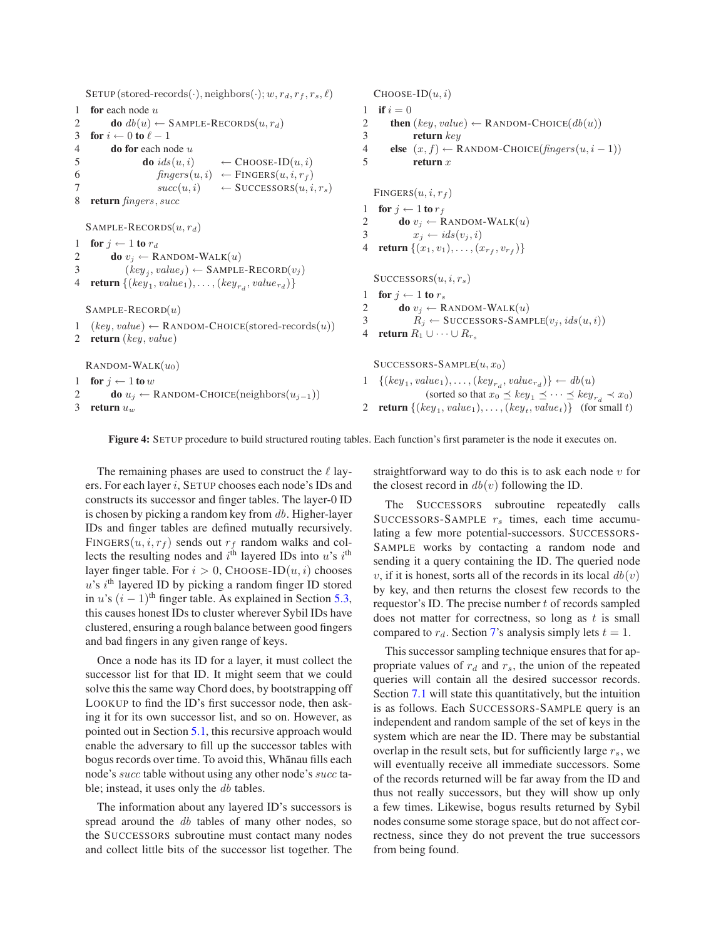SETUP (stored-records(·), neighbors(·);  $w, r_d, r_f, r_s, \ell$ ) **for** each node u **do**  $db(u) \leftarrow$  SAMPLE-RECORDS $(u, r_d)$ **for**  $i \leftarrow 0$  **to**  $\ell - 1$  **do for** each node u **do**  $ids(u, i) \leftarrow \text{CHOOSE-ID}(u, i)$  $fingers(u, i) \leftarrow \text{FINGERS}(u, i, r_f)$  $succ(u, i) \leftarrow \text{SUCESSORS}(u, i, r_s)$  **return** fingers, succ SAMPLE-RECORDS $(u, r_d)$ **for**  $j \leftarrow 1$  **to**  $r_d$ **do**  $v_i \leftarrow$  RANDOM-WALK $(u)$  $(key_j, value_j) \leftarrow \text{SAMPLE-RECORD}(v_j)$ **return**  $\{(key_1, value_1), \ldots, (key_{r_d}, value_{r_d})\}$  $S$ AMPLE-RECORD $(u)$  $(key, value) \leftarrow$  RANDOM-CHOICE(stored-records $(u)$ ) **return** (key, value)  $\text{RANDOM-WALK}(u_0)$ **for**  $j \leftarrow 1$  **to** w **do**  $u_j \leftarrow$  RANDOM-CHOICE(neighbors $(u_{j-1})$ ) **return**  $u_w$  $CHOOSE-ID(u, i)$ 1 **if**  $i = 0$ **then**  $(key, value) \leftarrow$  RANDOM-CHOICE $(db(u))$  **return** key **else**  $(x, f) \leftarrow$  RANDOM-CHOICE(fingers(u, i – 1)) 5 **return** x  $FINGERS(u, i, r_f)$ **for**  $j \leftarrow 1$  **to**  $r_f$ **do**  $v_i \leftarrow$  RANDOM-WALK $(u)$  $x_i \leftarrow ids(v_i, i)$ **return**  $\{(x_1, v_1), \ldots, (x_{r_f}, v_{r_f})\}$  $SUCCESSORS(u, i, r_s)$ **for**  $j \leftarrow 1$  **to**  $r_s$ **do**  $v_i \leftarrow$  RANDOM-WALK $(u)$  $R_j \leftarrow \text{SUCCESSORS-SAMPLE}(v_j, ids(u, i))$ **return**  $R_1 \cup \cdots \cup R_{r_s}$  $SUCCESORS-SAMPLE(u, x<sub>0</sub>)$  $\{(key_1, value_1), \ldots, (key_{r_d}, value_{r_d})\} \leftarrow db(u)$ (sorted so that  $x_0 \preceq key_1 \preceq \cdots \preceq key_{r_d} \prec x_0$ ) **return**  $\{(key_1, value_1), \ldots, (key_t, value_t)\}$  (for small t)

**Figure 4:** SETUP procedure to build structured routing tables. Each function's first parameter is the node it executes on.

<span id="page-6-0"></span>The remaining phases are used to construct the  $\ell$  layers. For each layer i, SETUP chooses each node's IDs and constructs its successor and finger tables. The layer-0 ID is chosen by picking a random key from  $db$ . Higher-layer IDs and finger tables are defined mutually recursively. FINGERS( $u$ ,  $i$ ,  $r_f$ ) sends out  $r_f$  random walks and collects the resulting nodes and  $i<sup>th</sup>$  layered IDs into u's  $i<sup>th</sup>$ layer finger table. For  $i > 0$ , CHOOSE-ID $(u, i)$  chooses  $u$ 's i<sup>th</sup> layered ID by picking a random finger ID stored in u's  $(i - 1)$ <sup>th</sup> finger table. As explained in Section [5.3,](#page-4-1) this causes honest IDs to cluster wherever Sybil IDs have clustered, ensuring a rough balance between good fingers and bad fingers in any given range of keys.

Once a node has its ID for a layer, it must collect the successor list for that ID. It might seem that we could solve this the same way Chord does, by bootstrapping off LOOKUP to find the ID's first successor node, then asking it for its own successor list, and so on. However, as pointed out in Section [5.1,](#page-3-3) this recursive approach would enable the adversary to fill up the successor tables with bogus records over time. To avoid this, Whanau fills each node's succ table without using any other node's succ table; instead, it uses only the db tables.

The information about any layered ID's successors is spread around the db tables of many other nodes, so the SUCCESSORS subroutine must contact many nodes and collect little bits of the successor list together. The straightforward way to do this is to ask each node  $v$  for the closest record in  $db(v)$  following the ID.

The SUCCESSORS subroutine repeatedly calls SUCCESSORS-SAMPLE  $r<sub>s</sub>$  times, each time accumulating a few more potential-successors. SUCCESSORS-SAMPLE works by contacting a random node and sending it a query containing the ID. The queried node v, if it is honest, sorts all of the records in its local  $db(v)$ by key, and then returns the closest few records to the requestor's ID. The precise number t of records sampled does not matter for correctness, so long as  $t$  is small compared to  $r_d$ . Section [7'](#page-7-0)s analysis simply lets  $t = 1$ .

This successor sampling technique ensures that for appropriate values of  $r_d$  and  $r_s$ , the union of the repeated queries will contain all the desired successor records. Section [7.1](#page-8-0) will state this quantitatively, but the intuition is as follows. Each SUCCESSORS-SAMPLE query is an independent and random sample of the set of keys in the system which are near the ID. There may be substantial overlap in the result sets, but for sufficiently large  $r<sub>s</sub>$ , we will eventually receive all immediate successors. Some of the records returned will be far away from the ID and thus not really successors, but they will show up only a few times. Likewise, bogus results returned by Sybil nodes consume some storage space, but do not affect correctness, since they do not prevent the true successors from being found.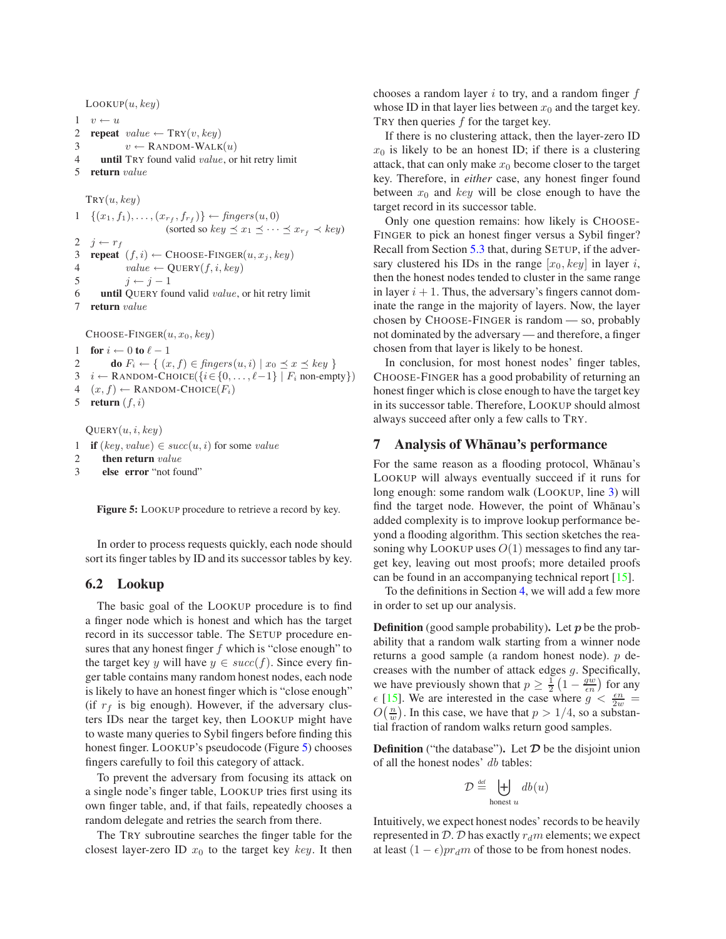$Loop(u, key)$  $1 \quad v \leftarrow u$ **repeat** value  $\leftarrow \text{TRY}(v, key)$  $v \leftarrow$  RANDOM-WALK $(u)$  **until** TRY found valid value, or hit retry limit **return** value  $TRY(u, key)$  $1 \quad \{(x_1, f_1), \ldots, (x_{r_f}, f_{r_f})\} \leftarrow \text{fingers}(u, 0)$ (sorted so  $key \leq x_1 \leq \cdots \leq x_{r_f} \prec key$ )  $j \leftarrow r_f$ **repeat**  $(f, i) \leftarrow$  CHOOSE-FINGER $(u, x_j, key)$  $value \leftarrow \text{Query}(f, i, key)$  $j \leftarrow j - 1$  **until** QUERY found valid value, or hit retry limit **return** value CHOOSE-FINGER $(u, x_0, \text{key})$ **for**  $i \leftarrow 0$  **to**  $\ell - 1$ **do**  $F_i \leftarrow \{ (x, f) \in \text{fingers}(u, i) \mid x_0 \preceq x \preceq \text{key} \}$ *i* ← RANDOM-CHOICE({ $i \in \{0, ..., \ell-1\}$  |  $F_i$  non-empty})  $(x, f) \leftarrow$  RANDOM-CHOICE $(F_i)$ **return**  $(f, i)$ 

 $\text{Query}(u, i, key)$ 

```
1 if (key, value) \in succ(u, i) for some value
```

```
2 then return value
```

```
3 else error "not found"
```

```
Figure 5: LOOKUP procedure to retrieve a record by key.
```
<span id="page-7-2"></span>In order to process requests quickly, each node should sort its finger tables by ID and its successor tables by key.

## <span id="page-7-1"></span>**6.2 Lookup**

The basic goal of the LOOKUP procedure is to find a finger node which is honest and which has the target record in its successor table. The SETUP procedure ensures that any honest finger  $f$  which is "close enough" to the target key y will have  $y \in succ(f)$ . Since every finger table contains many random honest nodes, each node is likely to have an honest finger which is "close enough" (if  $r_f$  is big enough). However, if the adversary clusters IDs near the target key, then LOOKUP might have to waste many queries to Sybil fingers before finding this honest finger. LOOKUP's pseudocode (Figure [5\)](#page-7-2) chooses fingers carefully to foil this category of attack.

To prevent the adversary from focusing its attack on a single node's finger table, LOOKUP tries first using its own finger table, and, if that fails, repeatedly chooses a random delegate and retries the search from there.

The TRY subroutine searches the finger table for the closest layer-zero ID  $x_0$  to the target key key. It then chooses a random layer  $i$  to try, and a random finger  $f$ whose ID in that layer lies between  $x_0$  and the target key. TRY then queries f for the target key.

If there is no clustering attack, then the layer-zero ID  $x_0$  is likely to be an honest ID; if there is a clustering attack, that can only make  $x_0$  become closer to the target key. Therefore, in *either* case, any honest finger found between  $x_0$  and key will be close enough to have the target record in its successor table.

Only one question remains: how likely is CHOOSE-FINGER to pick an honest finger versus a Sybil finger? Recall from Section [5.3](#page-4-1) that, during SETUP, if the adversary clustered his IDs in the range  $[x_0, key]$  in layer i, then the honest nodes tended to cluster in the same range in layer  $i + 1$ . Thus, the adversary's fingers cannot dominate the range in the majority of layers. Now, the layer chosen by CHOOSE-FINGER is random — so, probably not dominated by the adversary — and therefore, a finger chosen from that layer is likely to be honest.

In conclusion, for most honest nodes' finger tables, CHOOSE-FINGER has a good probability of returning an honest finger which is close enough to have the target key in its successor table. Therefore, LOOKUP should almost always succeed after only a few calls to TRY.

## <span id="page-7-0"></span>**7** Analysis of Whanau's performance

For the same reason as a flooding protocol, Whānau's LOOKUP will always eventually succeed if it runs for long enough: some random walk (LOOKUP, line [3\)](#page-7-1) will find the target node. However, the point of Whānau's added complexity is to improve lookup performance beyond a flooding algorithm. This section sketches the reasoning why LOOKUP uses  $O(1)$  messages to find any target key, leaving out most proofs; more detailed proofs can be found in an accompanying technical report [\[15\]](#page-15-26).

To the definitions in Section [4,](#page-2-0) we will add a few more in order to set up our analysis.

**Definition** (good sample probability). Let  $p$  be the probability that a random walk starting from a winner node returns a good sample (a random honest node). p decreases with the number of attack edges g. Specifically, we have previously shown that  $p \ge \frac{1}{2} \left( 1 - \frac{gw}{\epsilon n} \right)$  for any  $\epsilon$  [\[15\]](#page-15-26). We are interested in the case where  $g < \frac{\epsilon n}{2w}$  =  $O(\frac{n}{w})$ . In this case, we have that  $p > 1/4$ , so a substantial fraction of random walks return good samples.

**Definition** ("the database"). Let  $D$  be the disjoint union of all the honest nodes' db tables:

$$
\mathcal{D} \stackrel{\text{\tiny def}}{=} \biguplus_{\text{honest } u} db(u)
$$

Intuitively, we expect honest nodes' records to be heavily represented in  $D$ . D has exactly  $r_d m$  elements; we expect at least  $(1 - \epsilon)pr_d m$  of those to be from honest nodes.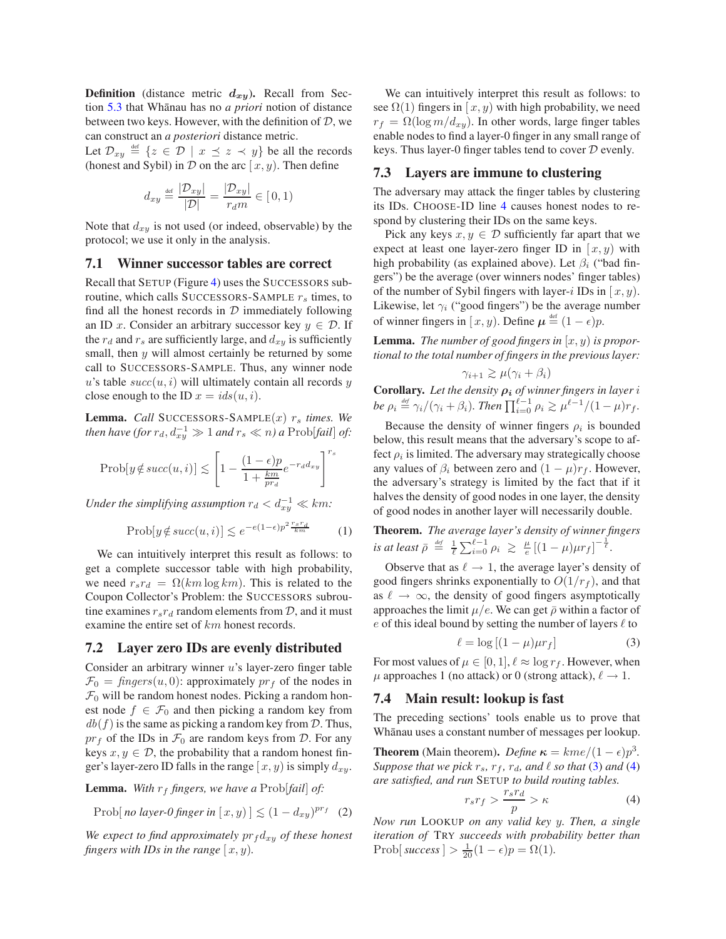**Definition** (distance metric  $d_{xy}$ ). Recall from Section [5.3](#page-4-1) that Wh¯anau has no *a priori* notion of distance between two keys. However, with the definition of  $D$ , we can construct an *a posteriori* distance metric.

Let  $\mathcal{D}_{xy} \triangleq \{z \in \mathcal{D} \mid x \preceq z \prec y\}$  be all the records (honest and Sybil) in  $D$  on the arc  $[x, y)$ . Then define

$$
d_{xy} \stackrel{\text{def}}{=} \frac{|\mathcal{D}_{xy}|}{|\mathcal{D}|} = \frac{|\mathcal{D}_{xy}|}{r_d m} \in [0, 1)
$$

Note that  $d_{xy}$  is not used (or indeed, observable) by the protocol; we use it only in the analysis.

### <span id="page-8-0"></span>**7.1 Winner successor tables are correct**

Recall that SETUP (Figure [4\)](#page-6-0) uses the SUCCESSORS subroutine, which calls SUCCESSORS-SAMPLE  $r_s$  times, to find all the honest records in  $D$  immediately following an ID x. Consider an arbitrary successor key  $y \in \mathcal{D}$ . If the  $r_d$  and  $r_s$  are sufficiently large, and  $d_{xy}$  is sufficiently small, then  $y$  will almost certainly be returned by some call to SUCCESSORS-SAMPLE. Thus, any winner node u's table  $succ(u, i)$  will ultimately contain all records y close enough to the ID  $x = ids(u, i)$ .

**Lemma.** *Call* SUCCESSORS-SAMPLE $(x)$   $r_s$  *times. We then have (for*  $r_d$ ,  $d_{xy}^{-1} \gg 1$  *and*  $r_s \ll n$ ) *a* Prob[*fail*] *of*:

$$
\text{Prob}[y \notin succ(u, i)] \le \left[1 - \frac{(1 - \epsilon)p}{1 + \frac{km}{pra}} e^{-r_d d_{xy}}\right]^{r_s}
$$

*Under the simplifying assumption*  $r_d < d_{xy}^{-1} \ll km$ :

$$
\text{Prob}[y \notin succ(u, i)] \le e^{-e(1-\epsilon)p^2 \frac{r_s r_d}{km}} \tag{1}
$$

We can intuitively interpret this result as follows: to get a complete successor table with high probability, we need  $r_s r_d = \Omega(km \log km)$ . This is related to the Coupon Collector's Problem: the SUCCESSORS subroutine examines  $r_s r_d$  random elements from  $\mathcal{D}$ , and it must examine the entire set of  $km$  honest records.

### **7.2 Layer zero IDs are evenly distributed**

Consider an arbitrary winner  $u$ 's layer-zero finger table  $\mathcal{F}_0 = \text{fingers}(u, 0)$ : approximately  $\text{pr}_f$  of the nodes in  $\mathcal{F}_0$  will be random honest nodes. Picking a random honest node  $f \in \mathcal{F}_0$  and then picking a random key from  $db(f)$  is the same as picking a random key from D. Thus,  $pr_f$  of the IDs in  $\mathcal{F}_0$  are random keys from  $\mathcal{D}$ . For any keys  $x, y \in \mathcal{D}$ , the probability that a random honest finger's layer-zero ID falls in the range  $[x, y)$  is simply  $d_{xy}$ .

**Lemma.** With  $r_f$  fingers, we have a Prob[fail] of:

Prob[no layer-0 finger in  $[x, y] \leq (1 - d_{xy})^{pr_f}$  (2)

*We expect to find approximately*  $pr_f d_{xy}$  *of these honest fingers with IDs in the range*  $[x, y)$ *.* 

We can intuitively interpret this result as follows: to see  $\Omega(1)$  fingers in [x, y] with high probability, we need  $r_f = \Omega(\log m/d_{xy})$ . In other words, large finger tables enable nodes to find a layer-0 finger in any small range of keys. Thus layer-0 finger tables tend to cover D evenly.

#### <span id="page-8-4"></span>**7.3 Layers are immune to clustering**

The adversary may attack the finger tables by clustering its IDs. CHOOSE-ID line [4](#page-5-1) causes honest nodes to respond by clustering their IDs on the same keys.

Pick any keys  $x, y \in \mathcal{D}$  sufficiently far apart that we expect at least one layer-zero finger ID in  $[x, y)$  with high probability (as explained above). Let  $\beta_i$  ("bad fingers") be the average (over winners nodes' finger tables) of the number of Sybil fingers with layer-i IDs in  $[x, y)$ . Likewise, let  $\gamma_i$  ("good fingers") be the average number of winner fingers in  $[x, y)$ . Define  $\mu \stackrel{\text{def}}{=} (1 - \epsilon)p$ .

**Lemma.** *The number of good fingers in*  $(x, y)$  *is proportional to the total number of fingers in the previous layer:*

$$
\gamma_{i+1} \geq \mu(\gamma_i + \beta_i)
$$

**Corollary.** Let the density  $\rho_i$  of winner fingers in layer i *be*  $\rho_i \stackrel{\text{def}}{=} \gamma_i/(\gamma_i + \beta_i)$ *. Then*  $\prod_{i=0}^{\ell-1} \rho_i \ge \mu^{\ell-1}/(1-\mu)r_f$ *.* 

Because the density of winner fingers  $\rho_i$  is bounded below, this result means that the adversary's scope to affect  $\rho_i$  is limited. The adversary may strategically choose any values of  $\beta_i$  between zero and  $(1 - \mu)r_f$ . However, the adversary's strategy is limited by the fact that if it halves the density of good nodes in one layer, the density of good nodes in another layer will necessarily double.

<span id="page-8-5"></span>**Theorem.** *The average layer's density of winner fingers is at least*  $\bar{\rho} \stackrel{\text{def}}{=} \frac{1}{\ell} \sum_{i=0}^{\ell-1} \rho_i \geq \frac{\mu}{e} \left[ (1-\mu)\mu r_f \right]^{-\frac{1}{\ell}}$ .

Observe that as  $\ell \rightarrow 1$ , the average layer's density of good fingers shrinks exponentially to  $O(1/r_f)$ , and that as  $\ell \to \infty$ , the density of good fingers asymptotically approaches the limit  $\mu/e$ . We can get  $\bar{\rho}$  within a factor of  $e$  of this ideal bound by setting the number of layers  $\ell$  to

<span id="page-8-1"></span>
$$
\ell = \log\left[ (1 - \mu)\mu r_f \right] \tag{3}
$$

For most values of  $\mu \in [0, 1]$ ,  $\ell \approx \log r_f$ . However, when  $\mu$  approaches 1 (no attack) or 0 (strong attack),  $\ell \rightarrow 1$ .

### **7.4 Main result: lookup is fast**

The preceding sections' tools enable us to prove that Whānau uses a constant number of messages per lookup.

**Theorem** (Main theorem). *Define*  $\kappa = \text{kme}/(1 - \epsilon)p^3$ . *Suppose that we pick*  $r_s$ ,  $r_f$ ,  $r_d$ , and  $\ell$  *so that* [\(3\)](#page-8-1) *and* [\(4\)](#page-8-2) *are satisfied, and run* SETUP *to build routing tables.*

<span id="page-8-2"></span>
$$
r_s r_f > \frac{r_s r_d}{p} > \kappa \tag{4}
$$

<span id="page-8-3"></span>*Now run* LOOKUP *on any valid key* y*. Then, a single iteration of* TRY *succeeds with probability better than* Prob[ $success$ ] >  $\frac{1}{20}(1 - \epsilon)p = \Omega(1)$ *.*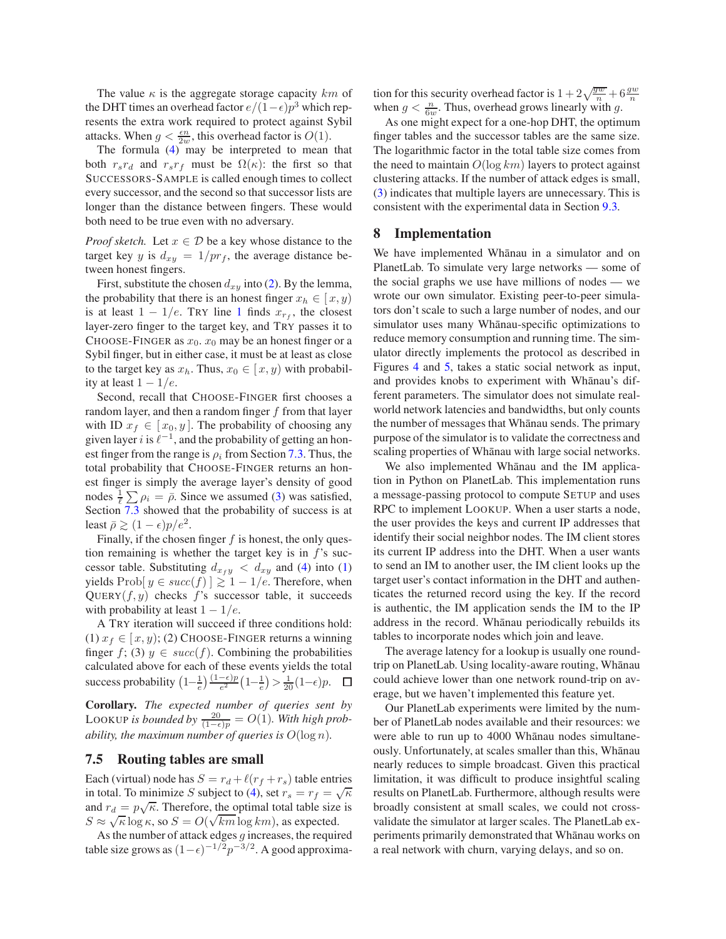The value  $\kappa$  is the aggregate storage capacity km of the DHT times an overhead factor  $e/(1-\epsilon)p^3$  which represents the extra work required to protect against Sybil attacks. When  $g < \frac{\epsilon n}{2w}$ , this overhead factor is  $O(1)$ .

The formula [\(4\)](#page-8-2) may be interpreted to mean that both  $r_s r_d$  and  $r_s r_f$  must be  $\Omega(\kappa)$ : the first so that SUCCESSORS-SAMPLE is called enough times to collect every successor, and the second so that successor lists are longer than the distance between fingers. These would both need to be true even with no adversary.

*Proof sketch.* Let  $x \in \mathcal{D}$  be a key whose distance to the target key y is  $d_{xy} = 1/pr_f$ , the average distance between honest fingers.

First, substitute the chosen  $d_{xy}$  into [\(2\)](#page-8-3). By the lemma, the probability that there is an honest finger  $x_h \in [x, y)$ is at least  $1 - 1/e$  $1 - 1/e$ . TRY line 1 finds  $x_{r_f}$ , the closest layer-zero finger to the target key, and TRY passes it to CHOOSE-FINGER as  $x_0$ ,  $x_0$  may be an honest finger or a Sybil finger, but in either case, it must be at least as close to the target key as  $x_h$ . Thus,  $x_0 \in [x, y)$  with probability at least  $1 - 1/e$ .

Second, recall that CHOOSE-FINGER first chooses a random layer, and then a random finger  $f$  from that layer with ID  $x_f \in [x_0, y]$ . The probability of choosing any given layer i is  $\ell^{-1}$ , and the probability of getting an honest finger from the range is  $\rho_i$  from Section [7.3.](#page-8-4) Thus, the total probability that CHOOSE-FINGER returns an honest finger is simply the average layer's density of good nodes  $\frac{1}{\ell} \sum \rho_i = \bar{\rho}$ . Since we assumed [\(3\)](#page-8-1) was satisfied, Section [7.3](#page-8-4) showed that the probability of success is at least  $\bar{\rho} \ge (1 - \epsilon)p/e^2$ .

Finally, if the chosen finger  $f$  is honest, the only question remaining is whether the target key is in  $f$ 's successor table. Substituting  $d_{x_f y} < d_{x y}$  and [\(4\)](#page-8-2) into [\(1\)](#page-8-5) yields Prob[ $y \in succ(f)$ ] ≥ 1 – 1/e. Therefore, when QUERY $(f, y)$  checks f's successor table, it succeeds with probability at least  $1 - 1/e$ .

A TRY iteration will succeed if three conditions hold: (1)  $x_f \in [x, y)$ ; (2) CHOOSE-FINGER returns a winning finger f; (3)  $y \in succ(f)$ . Combining the probabilities calculated above for each of these events yields the total success probability  $\left(1-\frac{1}{e}\right)\frac{(1-\epsilon)p}{e^2}\left(1-\frac{1}{e}\right) > \frac{1}{20}(1-\epsilon)p$ .

**Corollary.** *The expected number of queries sent by* LOOKUP is bounded by  $\frac{20}{(1-\epsilon)p} = O(1)$ *. With high probability, the maximum number of queries is*  $O(\log n)$ *.* 

#### **7.5 Routing tables are small**

Each (virtual) node has  $S = r_d + \ell(r_f + r_s)$  table entries in total. To minimize S subject to [\(4\)](#page-8-2), set  $r_s = r_f = \sqrt{\kappa}$ and  $r_d = p\sqrt{\kappa}$ . Therefore, the optimal total table size is  $S \approx \sqrt{\kappa} \log \kappa$ , so  $S = O(\sqrt{km} \log km)$ , as expected.

As the number of attack edges  $g$  increases, the required table size grows as  $(1 - \epsilon)^{-1/2} p^{-3/2}$ . A good approxima-

tion for this security overhead factor is  $1 + 2\sqrt{\frac{gw}{n}} + 6\frac{gw}{n}$ when  $g < \frac{n}{6w}$ . Thus, overhead grows linearly with g.

As one might expect for a one-hop DHT, the optimum finger tables and the successor tables are the same size. The logarithmic factor in the total table size comes from the need to maintain  $O(\log km)$  layers to protect against clustering attacks. If the number of attack edges is small, [\(3\)](#page-8-1) indicates that multiple layers are unnecessary. This is consistent with the experimental data in Section [9.3.](#page-12-0)

### <span id="page-9-0"></span>**8 Implementation**

We have implemented Whānau in a simulator and on PlanetLab. To simulate very large networks — some of the social graphs we use have millions of nodes — we wrote our own simulator. Existing peer-to-peer simulators don't scale to such a large number of nodes, and our simulator uses many Whānau-specific optimizations to reduce memory consumption and running time. The simulator directly implements the protocol as described in Figures [4](#page-6-0) and [5,](#page-7-2) takes a static social network as input, and provides knobs to experiment with Whanau's different parameters. The simulator does not simulate realworld network latencies and bandwidths, but only counts the number of messages that Whānau sends. The primary purpose of the simulator is to validate the correctness and scaling properties of Whānau with large social networks.

We also implemented Whanau and the IM application in Python on PlanetLab. This implementation runs a message-passing protocol to compute SETUP and uses RPC to implement LOOKUP. When a user starts a node, the user provides the keys and current IP addresses that identify their social neighbor nodes. The IM client stores its current IP address into the DHT. When a user wants to send an IM to another user, the IM client looks up the target user's contact information in the DHT and authenticates the returned record using the key. If the record is authentic, the IM application sends the IM to the IP address in the record. Whanau periodically rebuilds its tables to incorporate nodes which join and leave.

The average latency for a lookup is usually one roundtrip on PlanetLab. Using locality-aware routing, Whānau could achieve lower than one network round-trip on average, but we haven't implemented this feature yet.

Our PlanetLab experiments were limited by the number of PlanetLab nodes available and their resources: we were able to run up to 4000 Whānau nodes simultaneously. Unfortunately, at scales smaller than this, Whānau nearly reduces to simple broadcast. Given this practical limitation, it was difficult to produce insightful scaling results on PlanetLab. Furthermore, although results were broadly consistent at small scales, we could not crossvalidate the simulator at larger scales. The PlanetLab experiments primarily demonstrated that Whānau works on a real network with churn, varying delays, and so on.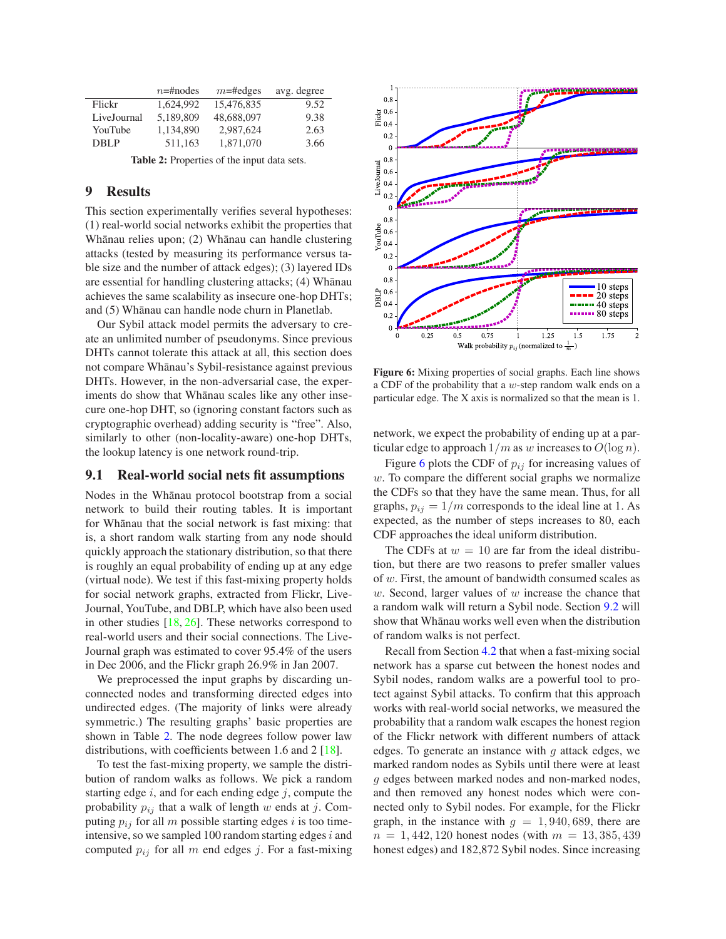| $n = \text{Hnodes}$ | $m$ =#edges | avg. degree |
|---------------------|-------------|-------------|
| 1.624.992           | 15,476,835  | 9.52        |
| 5.189.809           | 48,688,097  | 9.38        |
| 1.134.890           | 2,987,624   | 2.63        |
| 511,163             | 1,871,070   | 3.66        |
|                     |             |             |

**Table 2:** Properties of the input data sets.

## <span id="page-10-2"></span><span id="page-10-0"></span>**9 Results**

This section experimentally verifies several hypotheses: (1) real-world social networks exhibit the properties that Whānau relies upon; (2) Whānau can handle clustering attacks (tested by measuring its performance versus table size and the number of attack edges); (3) layered IDs are essential for handling clustering attacks; (4) Whanau achieves the same scalability as insecure one-hop DHTs; and (5) Whānau can handle node churn in Planetlab.

Our Sybil attack model permits the adversary to create an unlimited number of pseudonyms. Since previous DHTs cannot tolerate this attack at all, this section does not compare Whānau's Sybil-resistance against previous DHTs. However, in the non-adversarial case, the experiments do show that Whānau scales like any other insecure one-hop DHT, so (ignoring constant factors such as cryptographic overhead) adding security is "free". Also, similarly to other (non-locality-aware) one-hop DHTs, the lookup latency is one network round-trip.

## <span id="page-10-1"></span>**9.1 Real-world social nets fit assumptions**

Nodes in the Whānau protocol bootstrap from a social network to build their routing tables. It is important for Whānau that the social network is fast mixing: that is, a short random walk starting from any node should quickly approach the stationary distribution, so that there is roughly an equal probability of ending up at any edge (virtual node). We test if this fast-mixing property holds for social network graphs, extracted from Flickr, Live-Journal, YouTube, and DBLP, which have also been used in other studies [\[18,](#page-15-25) [26\]](#page-15-6). These networks correspond to real-world users and their social connections. The Live-Journal graph was estimated to cover 95.4% of the users in Dec 2006, and the Flickr graph 26.9% in Jan 2007.

We preprocessed the input graphs by discarding unconnected nodes and transforming directed edges into undirected edges. (The majority of links were already symmetric.) The resulting graphs' basic properties are shown in Table [2.](#page-10-2) The node degrees follow power law distributions, with coefficients between 1.6 and 2 [\[18\]](#page-15-25).

To test the fast-mixing property, we sample the distribution of random walks as follows. We pick a random starting edge  $i$ , and for each ending edge  $j$ , compute the probability  $p_{ij}$  that a walk of length w ends at j. Computing  $p_{ij}$  for all m possible starting edges i is too timeintensive, so we sampled 100 random starting edges  $i$  and computed  $p_{ij}$  for all m end edges j. For a fast-mixing



<span id="page-10-3"></span>**Figure 6:** Mixing properties of social graphs. Each line shows a CDF of the probability that a  $w$ -step random walk ends on a particular edge. The X axis is normalized so that the mean is 1.

network, we expect the probability of ending up at a particular edge to approach  $1/m$  as w increases to  $O(\log n)$ .

Figure [6](#page-10-3) plots the CDF of  $p_{ij}$  for increasing values of  $w$ . To compare the different social graphs we normalize the CDFs so that they have the same mean. Thus, for all graphs,  $p_{ij} = 1/m$  corresponds to the ideal line at 1. As expected, as the number of steps increases to 80, each CDF approaches the ideal uniform distribution.

The CDFs at  $w = 10$  are far from the ideal distribution, but there are two reasons to prefer smaller values of w. First, the amount of bandwidth consumed scales as  $w$ . Second, larger values of  $w$  increase the chance that a random walk will return a Sybil node. Section [9.2](#page-11-0) will show that Whānau works well even when the distribution of random walks is not perfect.

Recall from Section [4.2](#page-3-4) that when a fast-mixing social network has a sparse cut between the honest nodes and Sybil nodes, random walks are a powerful tool to protect against Sybil attacks. To confirm that this approach works with real-world social networks, we measured the probability that a random walk escapes the honest region of the Flickr network with different numbers of attack edges. To generate an instance with  $q$  attack edges, we marked random nodes as Sybils until there were at least g edges between marked nodes and non-marked nodes, and then removed any honest nodes which were connected only to Sybil nodes. For example, for the Flickr graph, in the instance with  $g = 1,940,689$ , there are  $n = 1,442,120$  honest nodes (with  $m = 13,385,439$ honest edges) and 182,872 Sybil nodes. Since increasing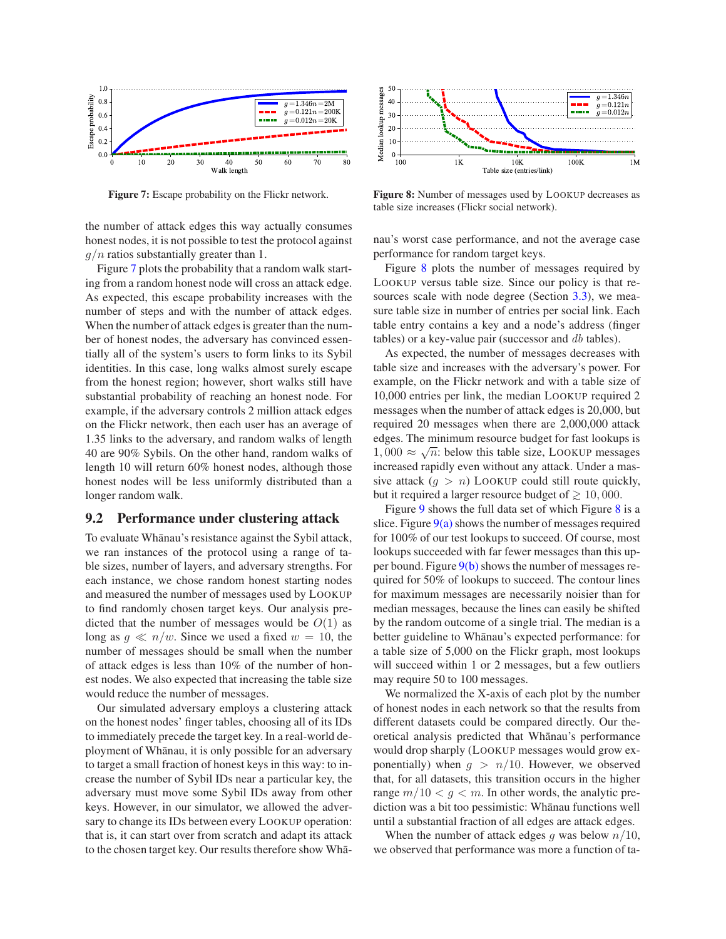

**Figure 7:** Escape probability on the Flickr network.

<span id="page-11-1"></span>the number of attack edges this way actually consumes honest nodes, it is not possible to test the protocol against  $g/n$  ratios substantially greater than 1.

Figure [7](#page-11-1) plots the probability that a random walk starting from a random honest node will cross an attack edge. As expected, this escape probability increases with the number of steps and with the number of attack edges. When the number of attack edges is greater than the number of honest nodes, the adversary has convinced essentially all of the system's users to form links to its Sybil identities. In this case, long walks almost surely escape from the honest region; however, short walks still have substantial probability of reaching an honest node. For example, if the adversary controls 2 million attack edges on the Flickr network, then each user has an average of 1.35 links to the adversary, and random walks of length 40 are 90% Sybils. On the other hand, random walks of length 10 will return 60% honest nodes, although those honest nodes will be less uniformly distributed than a longer random walk.

#### <span id="page-11-0"></span>**9.2 Performance under clustering attack**

To evaluate Whānau's resistance against the Sybil attack, we ran instances of the protocol using a range of table sizes, number of layers, and adversary strengths. For each instance, we chose random honest starting nodes and measured the number of messages used by LOOKUP to find randomly chosen target keys. Our analysis predicted that the number of messages would be  $O(1)$  as long as  $g \ll n/w$ . Since we used a fixed  $w = 10$ , the number of messages should be small when the number of attack edges is less than 10% of the number of honest nodes. We also expected that increasing the table size would reduce the number of messages.

Our simulated adversary employs a clustering attack on the honest nodes' finger tables, choosing all of its IDs to immediately precede the target key. In a real-world deployment of Whānau, it is only possible for an adversary to target a small fraction of honest keys in this way: to increase the number of Sybil IDs near a particular key, the adversary must move some Sybil IDs away from other keys. However, in our simulator, we allowed the adversary to change its IDs between every LOOKUP operation: that is, it can start over from scratch and adapt its attack to the chosen target key. Our results therefore show Wha-



<span id="page-11-2"></span>**Figure 8:** Number of messages used by LOOKUP decreases as table size increases (Flickr social network).

nau's worst case performance, and not the average case performance for random target keys.

Figure [8](#page-11-2) plots the number of messages required by LOOKUP versus table size. Since our policy is that resources scale with node degree (Section [3.3\)](#page-2-4), we measure table size in number of entries per social link. Each table entry contains a key and a node's address (finger tables) or a key-value pair (successor and db tables).

As expected, the number of messages decreases with table size and increases with the adversary's power. For example, on the Flickr network and with a table size of 10,000 entries per link, the median LOOKUP required 2 messages when the number of attack edges is 20,000, but required 20 messages when there are 2,000,000 attack edges. The minimum resource budget for fast lookups is  $1,000 \approx \sqrt{n}$ : below this table size, LOOKUP messages increased rapidly even without any attack. Under a massive attack  $(g > n)$  LOOKUP could still route quickly, but it required a larger resource budget of  $\geq 10,000$ .

Figure [9](#page-12-1) shows the full data set of which Figure [8](#page-11-2) is a slice. Figure  $9(a)$  shows the number of messages required for 100% of our test lookups to succeed. Of course, most lookups succeeded with far fewer messages than this upper bound. Figure  $9(b)$  shows the number of messages required for 50% of lookups to succeed. The contour lines for maximum messages are necessarily noisier than for median messages, because the lines can easily be shifted by the random outcome of a single trial. The median is a better guideline to Whānau's expected performance: for a table size of 5,000 on the Flickr graph, most lookups will succeed within 1 or 2 messages, but a few outliers may require 50 to 100 messages.

We normalized the X-axis of each plot by the number of honest nodes in each network so that the results from different datasets could be compared directly. Our theoretical analysis predicted that Whānau's performance would drop sharply (LOOKUP messages would grow exponentially) when  $g > n/10$ . However, we observed that, for all datasets, this transition occurs in the higher range  $m/10 < g < m$ . In other words, the analytic prediction was a bit too pessimistic: Whānau functions well until a substantial fraction of all edges are attack edges.

When the number of attack edges q was below  $n/10$ , we observed that performance was more a function of ta-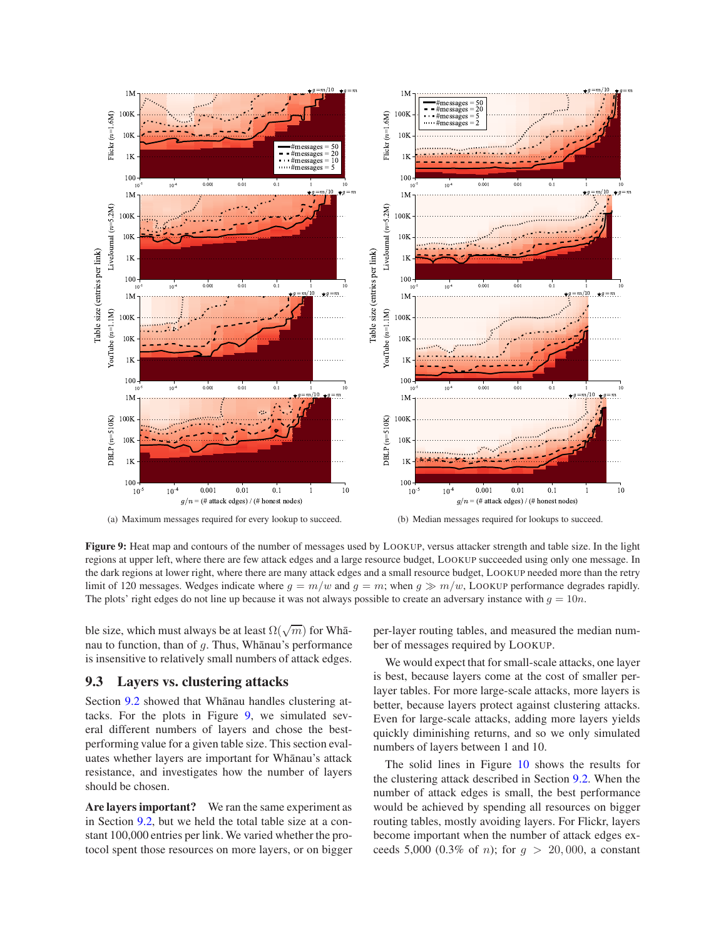<span id="page-12-2"></span>

<span id="page-12-1"></span>**Figure 9:** Heat map and contours of the number of messages used by LOOKUP, versus attacker strength and table size. In the light regions at upper left, where there are few attack edges and a large resource budget, LOOKUP succeeded using only one message. In the dark regions at lower right, where there are many attack edges and a small resource budget, LOOKUP needed more than the retry limit of 120 messages. Wedges indicate where  $g = m/w$  and  $g = m$ ; when  $g \gg m/w$ , LOOKUP performance degrades rapidly. The plots' right edges do not line up because it was not always possible to create an adversary instance with  $g = 10n$ .

ble size, which must always be at least  $\Omega(\sqrt{m})$  for Whānau to function, than of  $q$ . Thus, Whanau's performance is insensitive to relatively small numbers of attack edges.

### <span id="page-12-0"></span>**9.3 Layers vs. clustering attacks**

Section [9.2](#page-11-0) showed that Whanau handles clustering attacks. For the plots in Figure [9,](#page-12-1) we simulated several different numbers of layers and chose the bestperforming value for a given table size. This section evaluates whether layers are important for Whānau's attack resistance, and investigates how the number of layers should be chosen.

**Are layers important?** We ran the same experiment as in Section [9.2,](#page-11-0) but we held the total table size at a constant 100,000 entries per link. We varied whether the protocol spent those resources on more layers, or on bigger <span id="page-12-3"></span>per-layer routing tables, and measured the median number of messages required by LOOKUP.

We would expect that for small-scale attacks, one layer is best, because layers come at the cost of smaller perlayer tables. For more large-scale attacks, more layers is better, because layers protect against clustering attacks. Even for large-scale attacks, adding more layers yields quickly diminishing returns, and so we only simulated numbers of layers between 1 and 10.

The solid lines in Figure [10](#page-13-0) shows the results for the clustering attack described in Section [9.2.](#page-11-0) When the number of attack edges is small, the best performance would be achieved by spending all resources on bigger routing tables, mostly avoiding layers. For Flickr, layers become important when the number of attack edges exceeds 5,000 (0.3% of *n*); for  $g > 20,000$ , a constant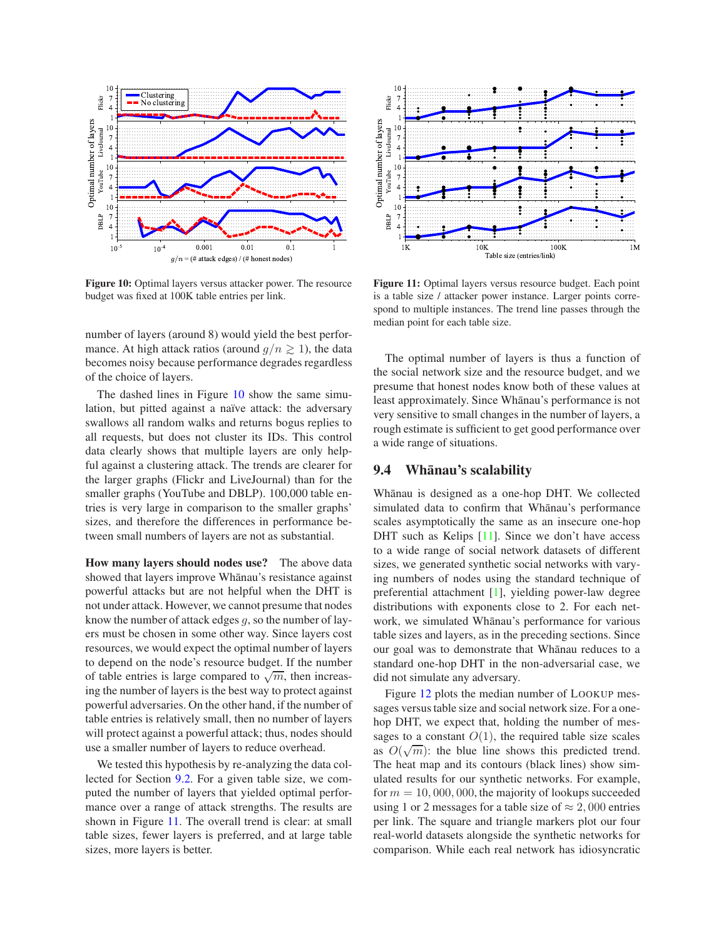

<span id="page-13-0"></span>**Figure 10:** Optimal layers versus attacker power. The resource budget was fixed at 100K table entries per link.

number of layers (around 8) would yield the best performance. At high attack ratios (around  $q/n \ge 1$ ), the data becomes noisy because performance degrades regardless of the choice of layers.

The dashed lines in Figure [10](#page-13-0) show the same simulation, but pitted against a naïve attack: the adversary swallows all random walks and returns bogus replies to all requests, but does not cluster its IDs. This control data clearly shows that multiple layers are only helpful against a clustering attack. The trends are clearer for the larger graphs (Flickr and LiveJournal) than for the smaller graphs (YouTube and DBLP). 100,000 table entries is very large in comparison to the smaller graphs' sizes, and therefore the differences in performance between small numbers of layers are not as substantial.

**How many layers should nodes use?** The above data showed that layers improve Whānau's resistance against powerful attacks but are not helpful when the DHT is not under attack. However, we cannot presume that nodes know the number of attack edges  $q$ , so the number of layers must be chosen in some other way. Since layers cost resources, we would expect the optimal number of layers to depend on the node's resource budget. If the number of table entries is large compared to  $\sqrt{m}$ , then increasing the number of layers is the best way to protect against powerful adversaries. On the other hand, if the number of table entries is relatively small, then no number of layers will protect against a powerful attack; thus, nodes should use a smaller number of layers to reduce overhead.

We tested this hypothesis by re-analyzing the data collected for Section [9.2.](#page-11-0) For a given table size, we computed the number of layers that yielded optimal performance over a range of attack strengths. The results are shown in Figure [11.](#page-13-1) The overall trend is clear: at small table sizes, fewer layers is preferred, and at large table sizes, more layers is better.



<span id="page-13-1"></span>**Figure 11:** Optimal layers versus resource budget. Each point is a table size / attacker power instance. Larger points correspond to multiple instances. The trend line passes through the median point for each table size.

The optimal number of layers is thus a function of the social network size and the resource budget, and we presume that honest nodes know both of these values at least approximately. Since Whānau's performance is not very sensitive to small changes in the number of layers, a rough estimate is sufficient to get good performance over a wide range of situations.

# **9.4** Whanau's scalability

Whānau is designed as a one-hop DHT. We collected simulated data to confirm that Whānau's performance scales asymptotically the same as an insecure one-hop DHT such as Kelips  $[11]$ . Since we don't have access to a wide range of social network datasets of different sizes, we generated synthetic social networks with varying numbers of nodes using the standard technique of preferential attachment [\[1\]](#page-15-27), yielding power-law degree distributions with exponents close to 2. For each network, we simulated Whānau's performance for various table sizes and layers, as in the preceding sections. Since our goal was to demonstrate that Whanau reduces to a standard one-hop DHT in the non-adversarial case, we did not simulate any adversary.

Figure [12](#page-14-2) plots the median number of LOOKUP messages versus table size and social network size. For a onehop DHT, we expect that, holding the number of messages to a constant  $O(1)$ , the required table size scales as  $O(\sqrt{m})$ : the blue line shows this predicted trend. The heat map and its contours (black lines) show simulated results for our synthetic networks. For example, for  $m = 10,000,000$ , the majority of lookups succeeded using 1 or 2 messages for a table size of  $\approx 2,000$  entries per link. The square and triangle markers plot our four real-world datasets alongside the synthetic networks for comparison. While each real network has idiosyncratic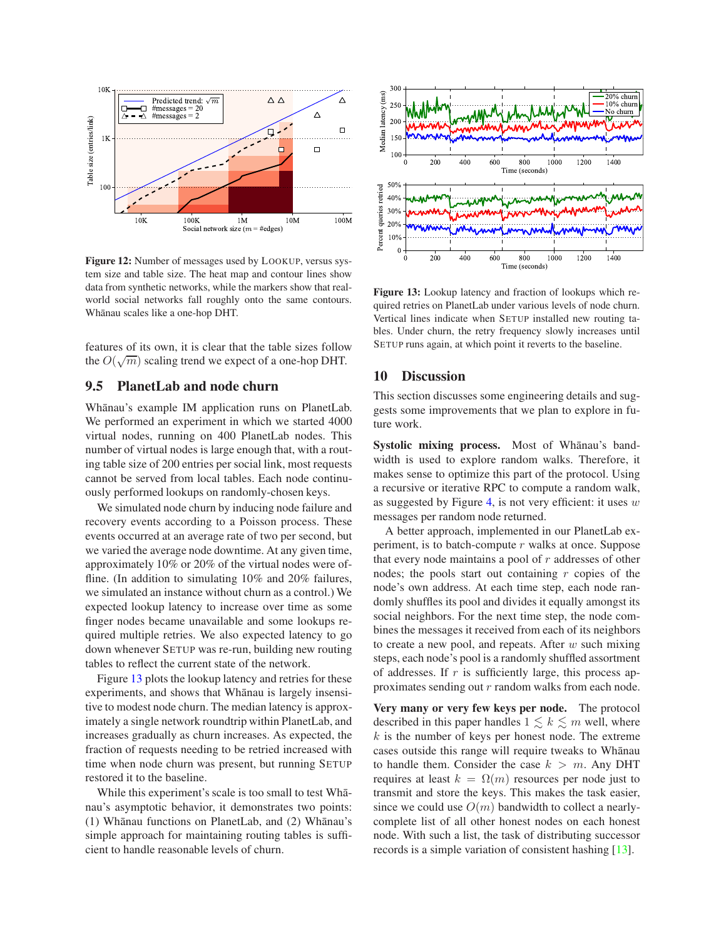

<span id="page-14-2"></span>**Figure 12:** Number of messages used by LOOKUP, versus system size and table size. The heat map and contour lines show data from synthetic networks, while the markers show that realworld social networks fall roughly onto the same contours. Whānau scales like a one-hop DHT.

features of its own, it is clear that the table sizes follow the  $O(\sqrt{m})$  scaling trend we expect of a one-hop DHT.

# <span id="page-14-1"></span>**9.5 PlanetLab and node churn**

Whānau's example IM application runs on PlanetLab. We performed an experiment in which we started 4000 virtual nodes, running on 400 PlanetLab nodes. This number of virtual nodes is large enough that, with a routing table size of 200 entries per social link, most requests cannot be served from local tables. Each node continuously performed lookups on randomly-chosen keys.

We simulated node churn by inducing node failure and recovery events according to a Poisson process. These events occurred at an average rate of two per second, but we varied the average node downtime. At any given time, approximately 10% or 20% of the virtual nodes were offline. (In addition to simulating 10% and 20% failures, we simulated an instance without churn as a control.) We expected lookup latency to increase over time as some finger nodes became unavailable and some lookups required multiple retries. We also expected latency to go down whenever SETUP was re-run, building new routing tables to reflect the current state of the network.

Figure [13](#page-14-3) plots the lookup latency and retries for these experiments, and shows that Whanau is largely insensitive to modest node churn. The median latency is approximately a single network roundtrip within PlanetLab, and increases gradually as churn increases. As expected, the fraction of requests needing to be retried increased with time when node churn was present, but running SETUP restored it to the baseline.

While this experiment's scale is too small to test Whanau's asymptotic behavior, it demonstrates two points: (1) Whānau functions on PlanetLab, and (2) Whānau's simple approach for maintaining routing tables is sufficient to handle reasonable levels of churn.



<span id="page-14-3"></span>**Figure 13:** Lookup latency and fraction of lookups which required retries on PlanetLab under various levels of node churn. Vertical lines indicate when SETUP installed new routing tables. Under churn, the retry frequency slowly increases until SETUP runs again, at which point it reverts to the baseline.

#### <span id="page-14-0"></span>**10 Discussion**

This section discusses some engineering details and suggests some improvements that we plan to explore in future work.

Systolic mixing process. Most of Whanau's bandwidth is used to explore random walks. Therefore, it makes sense to optimize this part of the protocol. Using a recursive or iterative RPC to compute a random walk, as suggested by Figure [4,](#page-6-0) is not very efficient: it uses  $w$ messages per random node returned.

A better approach, implemented in our PlanetLab experiment, is to batch-compute  $r$  walks at once. Suppose that every node maintains a pool of  $r$  addresses of other nodes; the pools start out containing  $r$  copies of the node's own address. At each time step, each node randomly shuffles its pool and divides it equally amongst its social neighbors. For the next time step, the node combines the messages it received from each of its neighbors to create a new pool, and repeats. After  $w$  such mixing steps, each node's pool is a randomly shuffled assortment of addresses. If  $r$  is sufficiently large, this process approximates sending out r random walks from each node.

**Very many or very few keys per node.** The protocol described in this paper handles  $1 \leq k \leq m$  well, where  $k$  is the number of keys per honest node. The extreme cases outside this range will require tweaks to Whānau to handle them. Consider the case  $k > m$ . Any DHT requires at least  $k = \Omega(m)$  resources per node just to transmit and store the keys. This makes the task easier, since we could use  $O(m)$  bandwidth to collect a nearlycomplete list of all other honest nodes on each honest node. With such a list, the task of distributing successor records is a simple variation of consistent hashing [\[13\]](#page-15-28).